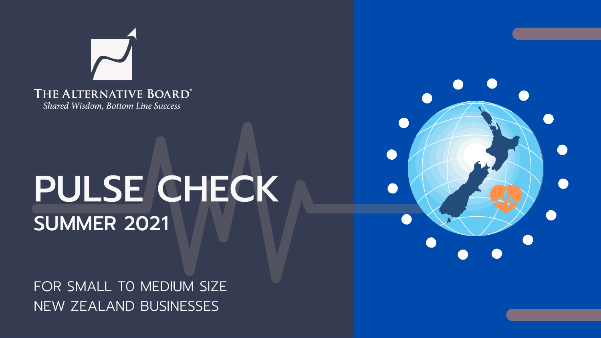

Shared Wisdom, Bottom Line Success

# PULSE CHECK SUMMER 2021

FOR SMALL TO MEDIUM SIZE NEW ZEALAND BUSINESSES

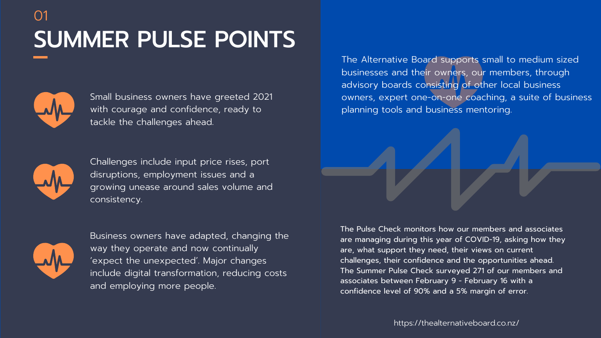## SUMMER PULSE POINTS 01



https://thealternativeboard.co.nz/

The Pulse Check monitors how our members and associates are managing during this year of COVID-19, asking how they are, what support they need, their views on current challenges, their confidence and the opportunities ahead. The Summer Pulse Check surveyed 271 of our members and associates between February 9 - February 16 with a confidence level of 90% and a 5% margin of error.

The Alternative Board supports small to medium sized businesses and their owners, our members, through advisory boards consisting of other local business owners, expert one-on-one coaching, a suite of business planning tools and business mentoring.

Small business owners have greeted 2021 with courage and confidence, ready to tackle the challenges ahead.



Challenges include input price rises, port disruptions, employment issues and a growing unease around sales volume and consistency.



Business owners have adapted, changing the way they operate and now continually 'expect the unexpected'. Major changes include digital transformation, reducing costs and employing more people.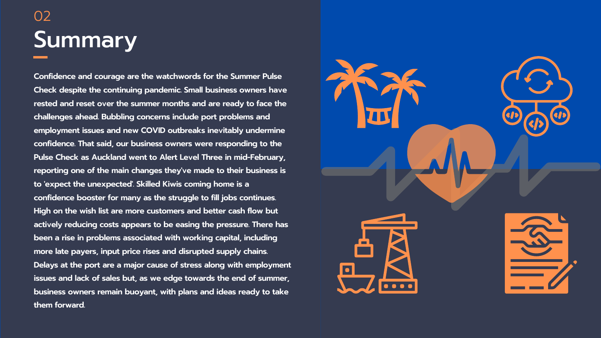### Summary 02

**Confidence and courage are the watchwords for the Summer Pulse Check despite the continuing pandemic. Small business owners have rested and reset over the summer months and are ready to face the challenges ahead. Bubbling concerns include port problems and employment issues and new COVID outbreaks inevitably undermine confidence. That said, our business owners were responding to the Pulse Check as Auckland went to Alert Level Three in mid-February, reporting one of the main changes they've made to their business is to 'expect the unexpected'. Skilled Kiwis coming home is a confidence booster for many as the struggle to fill jobs continues. High on the wish list are more customers and better cash flow but actively reducing costs appears to be easing the pressure. There has been a rise in problems associated with working capital, including more late payers, input price rises and disrupted supply chains. Delays at the port are a major cause of stress along with employment issues and lack of sales but, as we edge towards the end of summer, business owners remain buoyant, with plans and ideas ready to take them forward.**

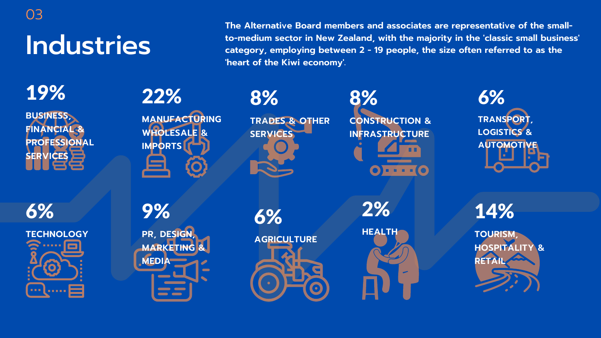# Industries

03

6% **TECHNOLOGY** . . . . . . **And Louise** 

**The Alternative Board members and associates are representative of the smallto-medium sector in New Zealand, with the majority in the 'classic small business' category, employing between 2 - 19 people, the size often referred to as the 'heart of the Kiwi economy'.**

> 8% **CONSTRUCTION & INFRASTRUCTURE**  $O - - 1$

> > **TOURISM, HOSPITALITY & RETA**



**MANUFACTURING WHOLESALE & IMPORTS**

19%

**BUSINESS, FINANCIAL & PROFESSIONAL SERVICES**

6% **TRANSPORT, LOGISTICS & AUTOMOTIVE**

9% **PR, DESIGN, MARKETING & MEDIA**

8%

**TRADES & OTHER**

**SERVICES**

14%

6% **AGRICULTURE**

2% **HEALTH**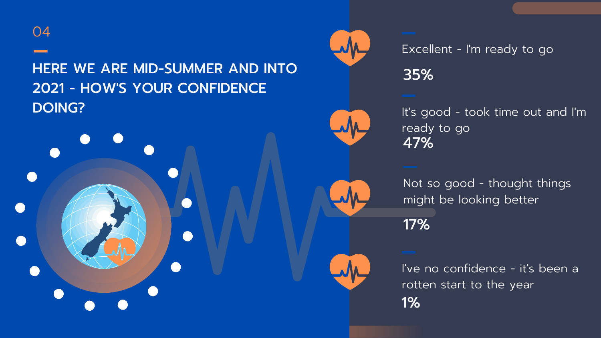### Excellent - I' m ready to go 35%

47% s good - took time out and I' m ready to go

Not so good - thought things might be looking better

### HERE WE ARE MID-SUMMER AND INTO 2021 - HOW'S YOUR CONFIDENCE **DOING?** It's a strong of the contract of the contract of the contract of the contract of the contract of the contract of the contract of the contract of the contract of the contract of the contract of the contract of the



I' ve no confidence - it' s been a rotten start to the year 1%



17%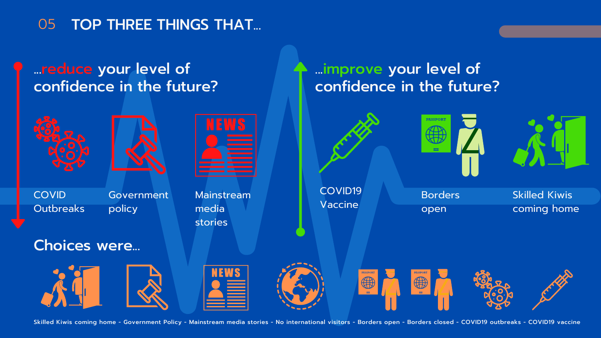#### ...reduce your level of confidence in the future?

#### 05 TOP THREE THINGS THAT...





**COVID Outbreaks** 

#### ...improve your level of confidence in the future?







Government policy



Mainstream media stories



Skilled Kiwis coming home



Borders open

#### Choices were...











Skilled Kiwis coming home - Government Policy - Mainstream media stories - No international visitors - Borders open - Borders closed - COVID19 outbreaks - COVID19 vaccine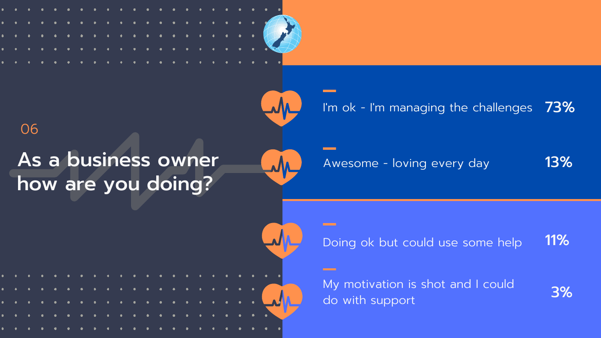

As a business owner

how are you doing?

06

Awesome - loving every day

Doing ok but could use some help 11%

My motivation is shot and I could do with support

#### I'm ok - I'm managing the challenges  $\,$   $73\%$

13%

3%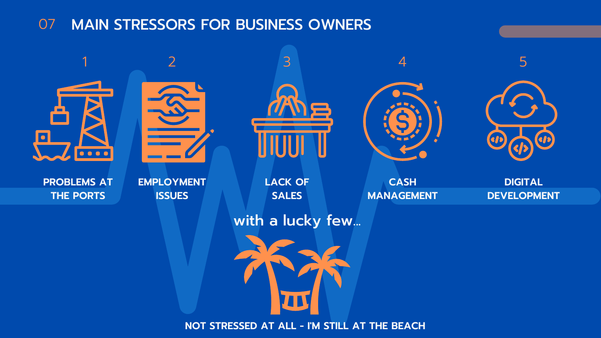#### 07 MAIN STRESSORS FOR BUSINESS OWNERS

**DIGITAL DEVELOPMENT**



#### **CASH MANAGEMENT**





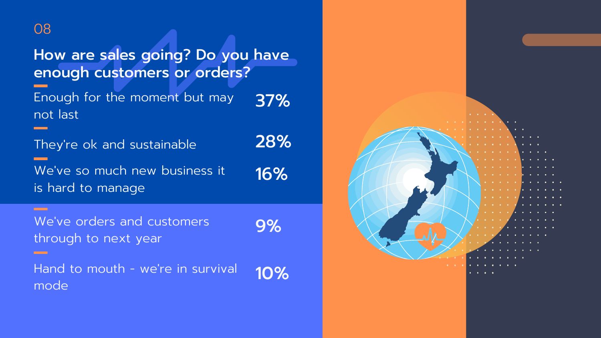How are sales going? Do you have enough customers or orders? Enough for the moment but may 37% not last 28%They ' re ok and sustainable We ' ve so much new business it 16% is hard to manage **CONTRACT** We ' ve orders and customers 9% through to next year Hand to mouth - we ' re in survival 10% mode



#### 08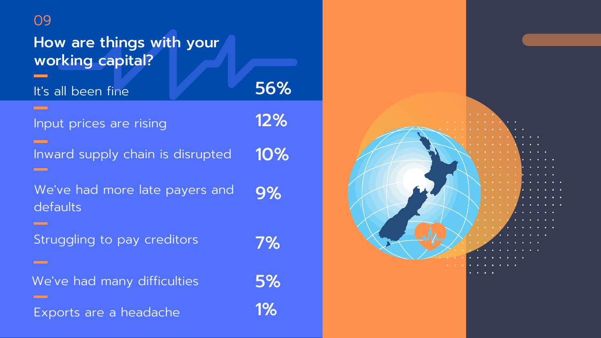| 09                                                               |       |
|------------------------------------------------------------------|-------|
| How are things with your<br>working capital?                     |       |
| It's all been fine                                               | 56%   |
| Input prices are rising                                          | 12%   |
| Inward supply chain is disrupted                                 | 10%   |
| We've had more late payers and<br>defaults<br><u> Tanzania (</u> |       |
| Struggling to pay creditors                                      | 7%    |
| We've had many difficulties                                      | 5%    |
| Exports are a headache                                           | $1\%$ |

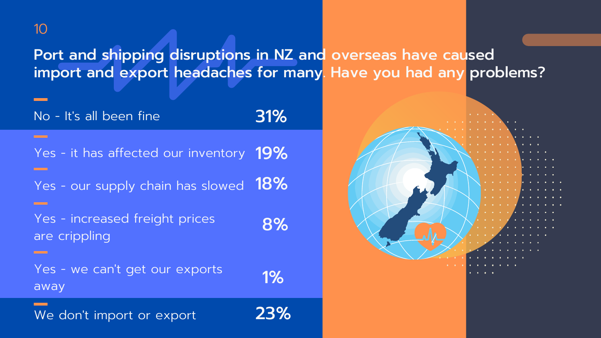### Port and shipping disruptions in NZ and overseas have caused import and export headaches for many. Have you had any problems?

| No - It's all been fine                                                          | 31% |
|----------------------------------------------------------------------------------|-----|
| Yes - it has affected our inventory 19%<br>Yes - our supply chain has slowed 18% |     |
| Yes - increased freight prices<br>are crippling                                  | 8%  |
| Yes - we can't get our exports<br>away                                           |     |
| We don't import or export                                                        | 23% |



#### 10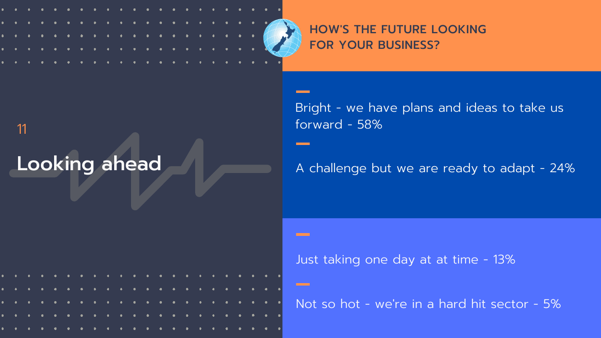11

|  |  |  |  |  |  |  |  |  |  | . <u>.</u> <del>.</del>       |  |
|--|--|--|--|--|--|--|--|--|--|-------------------------------|--|
|  |  |  |  |  |  |  |  |  |  |                               |  |
|  |  |  |  |  |  |  |  |  |  | . <del>.</del> <del>. .</del> |  |
|  |  |  |  |  |  |  |  |  |  |                               |  |
|  |  |  |  |  |  |  |  |  |  |                               |  |

# HOW'S THE FUTURE LOOKING



Not so hot - we 're in a hard hit sector - 5%

# Looking ahead A challenge but we are ready to adapt - 24%

# Bright - we have plans and ideas to take us

forward - 58%

**Contract** 

**COMMON** 

#### Just taking one day at at time - 13%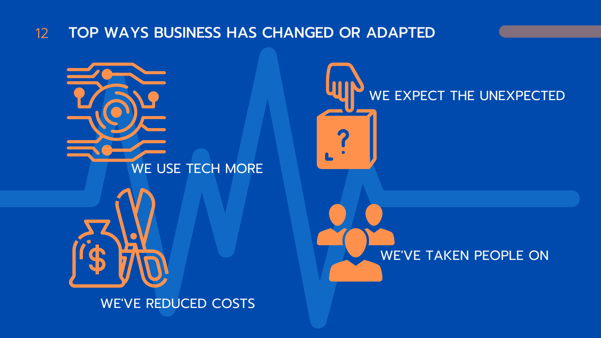#### TOP WAYS BUSINESS HAS CHANGED OR ADAPTED 12



#### WE'VE TAKEN PEOPLE ON





### WE EXPECT THE UNEXPECTED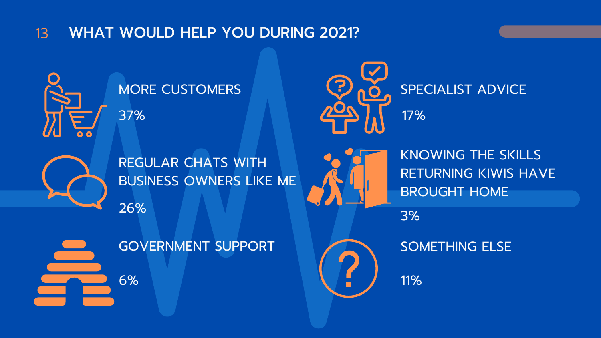MORE CUSTOMERS

#### WHAT WOULD HELP YOU DURING 2021? 13

REGULAR CHATS WITH BUSINESS OWNERS LIKE ME 26%





GOVERNMENT SUPPORT







KNOWING THE SKILLS RETURNING KIWIS HAVE BROUGHT HOME

### SPECIALIST ADVICE 17%

SOMETHING ELSE

11%

3%